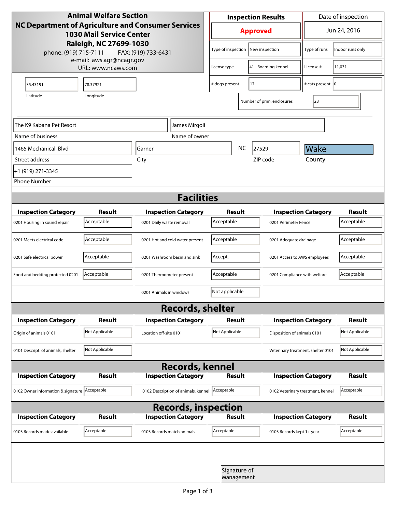| <b>Animal Welfare Section</b>                                                                                          |                                                 |                                     |                    | <b>Inspection Results</b>          |                            |                           | Date of inspection                 |                |  |
|------------------------------------------------------------------------------------------------------------------------|-------------------------------------------------|-------------------------------------|--------------------|------------------------------------|----------------------------|---------------------------|------------------------------------|----------------|--|
| <b>NC Department of Agriculture and Consumer Services</b><br><b>1030 Mail Service Center</b><br>Raleigh, NC 27699-1030 |                                                 |                                     | <b>Approved</b>    |                                    |                            | Jun 24, 2016              |                                    |                |  |
| phone: (919) 715-7111                                                                                                  | FAX: (919) 733-6431                             |                                     | Type of inspection |                                    | New inspection             | Type of runs              | Indoor runs only                   |                |  |
|                                                                                                                        | e-mail: aws.agr@ncagr.gov<br>URL: www.ncaws.com |                                     | license type       |                                    | 41 - Boarding kennel       | License #                 | 11,031                             |                |  |
| 35.43191                                                                                                               | 78.37921                                        |                                     |                    | # dogs present                     |                            | 17                        | # cats present   0                 |                |  |
| Latitude                                                                                                               |                                                 |                                     |                    |                                    | Number of prim. enclosures | 23                        |                                    |                |  |
| The K9 Kabana Pet Resort<br>James Mirgoli                                                                              |                                                 |                                     |                    |                                    |                            |                           |                                    |                |  |
| Name of business                                                                                                       |                                                 |                                     | Name of owner      |                                    |                            |                           |                                    |                |  |
| 1465 Mechanical Blvd                                                                                                   |                                                 | Garner                              | <b>NC</b>          |                                    |                            | 27529                     | Wake                               |                |  |
| Street address                                                                                                         | City                                            |                                     |                    |                                    | County<br>ZIP code         |                           |                                    |                |  |
| +1 (919) 271-3345                                                                                                      |                                                 |                                     |                    |                                    |                            |                           |                                    |                |  |
| <b>Phone Number</b>                                                                                                    |                                                 |                                     |                    |                                    |                            |                           |                                    |                |  |
| <b>Facilities</b>                                                                                                      |                                                 |                                     |                    |                                    |                            |                           |                                    |                |  |
| <b>Inspection Category</b>                                                                                             | <b>Result</b>                                   | <b>Inspection Category</b>          |                    | Result                             |                            |                           | <b>Inspection Category</b>         | <b>Result</b>  |  |
| 0201 Housing in sound repair                                                                                           | Acceptable                                      | 0201 Daily waste removal            |                    | Acceptable<br>0201 Perimeter Fence |                            |                           | Acceptable                         |                |  |
| 0201 Meets electrical code                                                                                             | Acceptable                                      | 0201 Hot and cold water present     |                    | Acceptable                         |                            |                           | 0201 Adequate drainage             |                |  |
| 0201 Safe electrical power                                                                                             | Acceptable                                      | 0201 Washroom basin and sink        |                    | Accept.                            |                            |                           | 0201 Access to AWS employees       |                |  |
| Food and bedding protected 0201                                                                                        | Acceptable                                      | 0201 Thermometer present            |                    | Acceptable                         |                            |                           | 0201 Compliance with welfare       |                |  |
|                                                                                                                        |                                                 | 0201 Animals in windows             |                    | Not applicable                     |                            |                           |                                    |                |  |
| <b>Records, shelter</b>                                                                                                |                                                 |                                     |                    |                                    |                            |                           |                                    |                |  |
| <b>Inspection Category</b>                                                                                             | Result                                          | <b>Inspection Category</b>          |                    | Result                             |                            |                           | <b>Inspection Category</b>         | Result         |  |
| Origin of animals 0101                                                                                                 | Not Applicable                                  | Location off-site 0101              |                    | Not Applicable                     |                            |                           | Disposition of animals 0101        |                |  |
| 0101 Descript. of animals, shelter                                                                                     | Not Applicable                                  |                                     |                    |                                    |                            |                           | Veterinary treatment, shelter 0101 | Not Applicable |  |
| <b>Records, kennel</b>                                                                                                 |                                                 |                                     |                    |                                    |                            |                           |                                    |                |  |
| <b>Inspection Category</b>                                                                                             | Result                                          | <b>Inspection Category</b>          |                    | <b>Result</b>                      |                            |                           | <b>Inspection Category</b>         | Result         |  |
| 0102 Owner information & signature Acceptable                                                                          |                                                 | 0102 Description of animals, kennel |                    | Acceptable                         |                            |                           | 0102 Veterinary treatment, kennel  | Acceptable     |  |
| <b>Records, inspection</b>                                                                                             |                                                 |                                     |                    |                                    |                            |                           |                                    |                |  |
| <b>Inspection Category</b>                                                                                             | <b>Result</b>                                   | <b>Inspection Category</b>          |                    | Result                             |                            |                           | <b>Inspection Category</b>         | Result         |  |
| 0103 Records made available                                                                                            | Acceptable                                      | 0103 Records match animals          |                    | Acceptable                         |                            | 0103 Records kept 1+ year |                                    | Acceptable     |  |
|                                                                                                                        |                                                 |                                     |                    |                                    |                            |                           |                                    |                |  |
|                                                                                                                        |                                                 |                                     |                    | Signature of<br>Management         |                            |                           |                                    |                |  |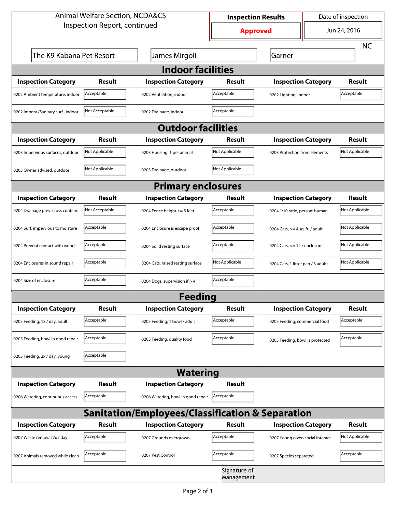| <b>Animal Welfare Section, NCDA&amp;CS</b>                  |                |                                    | <b>Inspection Results</b>  |                                     | Date of inspection |                |  |  |  |
|-------------------------------------------------------------|----------------|------------------------------------|----------------------------|-------------------------------------|--------------------|----------------|--|--|--|
| Inspection Report, continued                                |                |                                    | <b>Approved</b>            |                                     | Jun 24, 2016       |                |  |  |  |
|                                                             |                |                                    |                            |                                     |                    | <b>NC</b>      |  |  |  |
| The K9 Kabana Pet Resort                                    |                | James Mirgoli                      |                            | Garner                              |                    |                |  |  |  |
| <b>Indoor facilities</b>                                    |                |                                    |                            |                                     |                    |                |  |  |  |
| <b>Inspection Category</b>                                  | Result         | <b>Inspection Category</b>         | Result                     | <b>Inspection Category</b>          |                    | Result         |  |  |  |
| 0202 Ambient temperature, indoor                            | Acceptable     | 0202 Ventilation, indoor           | Acceptable                 | Acceptable<br>0202 Lighting, indoor |                    |                |  |  |  |
| 0202 Imperv./Sanitary surf., indoor                         | Not Acceptable | 0202 Drainage, indoor              | Acceptable                 |                                     |                    |                |  |  |  |
| <b>Outdoor facilities</b>                                   |                |                                    |                            |                                     |                    |                |  |  |  |
| <b>Inspection Category</b>                                  | <b>Result</b>  | <b>Inspection Category</b>         | Result                     | <b>Inspection Category</b>          |                    | Result         |  |  |  |
| 0203 Impervious surfaces, outdoor                           | Not Applicable | 0203 Housing, 1 per animal         | Not Applicable             | 0203 Protection from elements       |                    | Not Applicable |  |  |  |
| 0203 Owner advised, outdoor                                 | Not Applicable | 0203 Drainage, outdoor             | Not Applicable             |                                     |                    |                |  |  |  |
| <b>Primary enclosures</b>                                   |                |                                    |                            |                                     |                    |                |  |  |  |
| <b>Inspection Category</b>                                  | Result         | <b>Inspection Category</b>         | Result                     | <b>Inspection Category</b>          |                    | <b>Result</b>  |  |  |  |
| 0204 Drainage prev. cross contam.                           | Not Acceptable | 0204 Fence height >= 5 feet        | Acceptable                 | 0204 1:10 ratio, person: human      |                    | Not Applicable |  |  |  |
| 0204 Surf. impervious to moisture                           | Acceptable     | 0204 Enclosure is escape proof     | Acceptable                 | 0204 Cats, $>=$ 4 sq. ft. / adult   |                    | Not Applicable |  |  |  |
| 0204 Prevent contact with wood                              | Acceptable     | 0204 Solid resting surface         | Acceptable                 | 0204 Cats, $<= 12$ / enclosure      |                    | Not Applicable |  |  |  |
| 0204 Enclosures in sound repair                             | Acceptable     | 0204 Cats, raised resting surface  | Not Applicable             | 0204 Cats, 1 litter pan / 3 adults  |                    | Not Applicable |  |  |  |
| 0204 Size of enclosure                                      | Acceptable     | 0204 Dogs, supervision if > 4      | Acceptable                 |                                     |                    |                |  |  |  |
|                                                             |                | <b>Feeding</b>                     |                            |                                     |                    |                |  |  |  |
| <b>Inspection Category</b>                                  | <b>Result</b>  | <b>Inspection Category</b>         | <b>Result</b>              | <b>Inspection Category</b>          |                    | <b>Result</b>  |  |  |  |
| 0205 Feeding, 1x / day, adult                               | Acceptable     | 0205 Feeding, 1 bowl / adult       | Acceptable                 | 0205 Feeding, commercial food       |                    | Acceptable     |  |  |  |
| 0205 Feeding, bowl in good repair                           | Acceptable     | 0205 Feeding, quality food         | Acceptable                 | 0205 Feeding, bowl is protected     |                    | Acceptable     |  |  |  |
| 0205 Feeding, 2x / day, young                               | Acceptable     |                                    |                            |                                     |                    |                |  |  |  |
|                                                             |                | <b>Watering</b>                    |                            |                                     |                    |                |  |  |  |
| <b>Inspection Category</b>                                  | <b>Result</b>  | <b>Inspection Category</b>         | Result                     |                                     |                    |                |  |  |  |
| 0206 Watering, continuous access                            | Acceptable     | 0206 Watering, bowl in good repair | Acceptable                 |                                     |                    |                |  |  |  |
| <b>Sanitation/Employees/Classification &amp; Separation</b> |                |                                    |                            |                                     |                    |                |  |  |  |
| <b>Inspection Category</b>                                  | <b>Result</b>  | <b>Inspection Category</b>         | Result                     | <b>Inspection Category</b>          |                    | Result         |  |  |  |
| 0207 Waste removal 2x / day                                 | Acceptable     | 0207 Grounds overgrown             | Acceptable                 | 0207 Young given social interact.   |                    | Not Applicable |  |  |  |
| 0207 Animals removed while clean                            | Acceptable     | 0207 Pest Control                  | Acceptable                 | 0207 Species separated              |                    | Acceptable     |  |  |  |
|                                                             |                |                                    | Signature of<br>Management |                                     |                    |                |  |  |  |